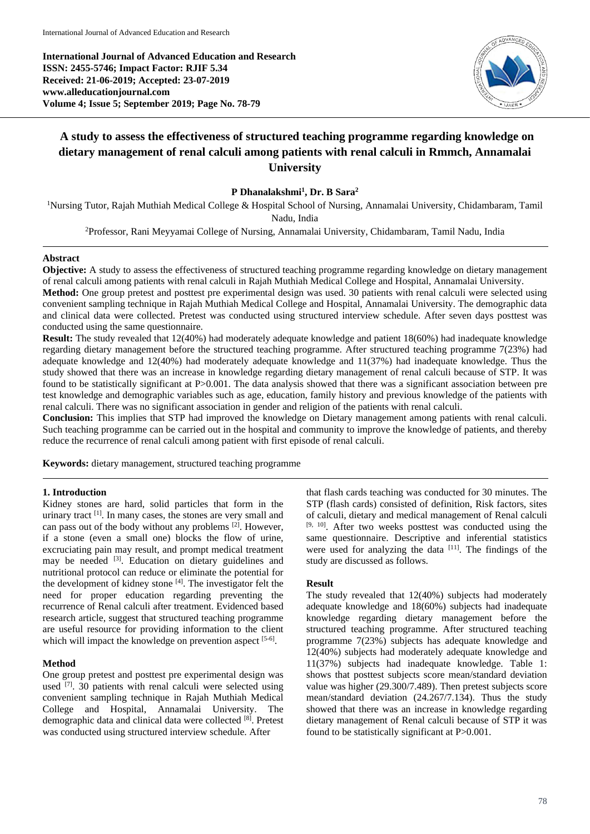**International Journal of Advanced Education and Research ISSN: 2455-5746; Impact Factor: RJIF 5.34 Received: 21-06-2019; Accepted: 23-07-2019 www.alleducationjournal.com Volume 4; Issue 5; September 2019; Page No. 78-79**



# **A study to assess the effectiveness of structured teaching programme regarding knowledge on dietary management of renal calculi among patients with renal calculi in Rmmch, Annamalai University**

**P Dhanalakshmi<sup>1</sup> , Dr. B Sara<sup>2</sup>**

<sup>1</sup>Nursing Tutor, Rajah Muthiah Medical College & Hospital School of Nursing, Annamalai University, Chidambaram, Tamil Nadu, India

<sup>2</sup>Professor, Rani Meyyamai College of Nursing, Annamalai University, Chidambaram, Tamil Nadu, India

## **Abstract**

**Objective:** A study to assess the effectiveness of structured teaching programme regarding knowledge on dietary management of renal calculi among patients with renal calculi in Rajah Muthiah Medical College and Hospital, Annamalai University.

**Method:** One group pretest and posttest pre experimental design was used. 30 patients with renal calculi were selected using convenient sampling technique in Rajah Muthiah Medical College and Hospital, Annamalai University. The demographic data and clinical data were collected. Pretest was conducted using structured interview schedule. After seven days posttest was conducted using the same questionnaire.

**Result:** The study revealed that 12(40%) had moderately adequate knowledge and patient 18(60%) had inadequate knowledge regarding dietary management before the structured teaching programme. After structured teaching programme 7(23%) had adequate knowledge and 12(40%) had moderately adequate knowledge and 11(37%) had inadequate knowledge. Thus the study showed that there was an increase in knowledge regarding dietary management of renal calculi because of STP. It was found to be statistically significant at P>0.001. The data analysis showed that there was a significant association between pre test knowledge and demographic variables such as age, education, family history and previous knowledge of the patients with renal calculi. There was no significant association in gender and religion of the patients with renal calculi.

**Conclusion:** This implies that STP had improved the knowledge on Dietary management among patients with renal calculi. Such teaching programme can be carried out in the hospital and community to improve the knowledge of patients, and thereby reduce the recurrence of renal calculi among patient with first episode of renal calculi.

**Keywords:** dietary management, structured teaching programme

## **1. Introduction**

Kidney stones are hard, solid particles that form in the urinary tract [1]. In many cases, the stones are very small and can pass out of the body without any problems  $[2]$ . However, if a stone (even a small one) blocks the flow of urine, excruciating pain may result, and prompt medical treatment may be needed <sup>[3]</sup>. Education on dietary guidelines and nutritional protocol can reduce or eliminate the potential for the development of kidney stone<sup>[4]</sup>. The investigator felt the need for proper education regarding preventing the recurrence of Renal calculi after treatment. Evidenced based research article, suggest that structured teaching programme are useful resource for providing information to the client which will impact the knowledge on prevention aspect [5-6].

#### **Method**

One group pretest and posttest pre experimental design was used [7]. 30 patients with renal calculi were selected using convenient sampling technique in Rajah Muthiah Medical College and Hospital, Annamalai University. The demographic data and clinical data were collected [8]. Pretest was conducted using structured interview schedule. After

that flash cards teaching was conducted for 30 minutes. The STP (flash cards) consisted of definition, Risk factors, sites of calculi, dietary and medical management of Renal calculi  $[9, 10]$ . After two weeks posttest was conducted using the same questionnaire. Descriptive and inferential statistics were used for analyzing the data [11]. The findings of the study are discussed as follows.

#### **Result**

The study revealed that 12(40%) subjects had moderately adequate knowledge and 18(60%) subjects had inadequate knowledge regarding dietary management before the structured teaching programme. After structured teaching programme 7(23%) subjects has adequate knowledge and 12(40%) subjects had moderately adequate knowledge and 11(37%) subjects had inadequate knowledge. Table 1: shows that posttest subjects score mean/standard deviation value was higher (29.300/7.489). Then pretest subjects score mean/standard deviation (24.267/7.134). Thus the study showed that there was an increase in knowledge regarding dietary management of Renal calculi because of STP it was found to be statistically significant at P>0.001.